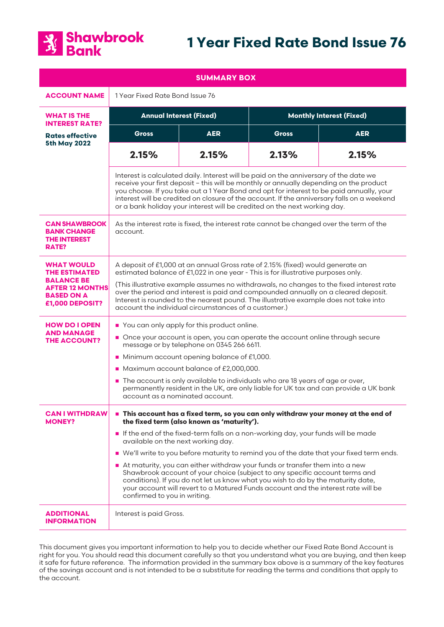

# **1 Year Fixed Rate Bond Issue 76**

| <b>SUMMARY BOX</b>                                                                                                               |                                                                                                                                                                                                                                                                                                                                                                                                                                                                                                                                                                                                                                                                                                                              |            |                                 |            |
|----------------------------------------------------------------------------------------------------------------------------------|------------------------------------------------------------------------------------------------------------------------------------------------------------------------------------------------------------------------------------------------------------------------------------------------------------------------------------------------------------------------------------------------------------------------------------------------------------------------------------------------------------------------------------------------------------------------------------------------------------------------------------------------------------------------------------------------------------------------------|------------|---------------------------------|------------|
| <b>ACCOUNT NAME</b>                                                                                                              | 1 Year Fixed Rate Bond Issue 76                                                                                                                                                                                                                                                                                                                                                                                                                                                                                                                                                                                                                                                                                              |            |                                 |            |
| <b>WHAT IS THE</b><br><b>INTEREST RATE?</b>                                                                                      | <b>Annual Interest (Fixed)</b>                                                                                                                                                                                                                                                                                                                                                                                                                                                                                                                                                                                                                                                                                               |            | <b>Monthly Interest (Fixed)</b> |            |
| <b>Rates effective</b><br><b>5th May 2022</b>                                                                                    | <b>Gross</b>                                                                                                                                                                                                                                                                                                                                                                                                                                                                                                                                                                                                                                                                                                                 | <b>AER</b> | <b>Gross</b>                    | <b>AER</b> |
|                                                                                                                                  | 2.15%                                                                                                                                                                                                                                                                                                                                                                                                                                                                                                                                                                                                                                                                                                                        | 2.15%      | 2.13%                           | 2.15%      |
|                                                                                                                                  | Interest is calculated daily. Interest will be paid on the anniversary of the date we<br>receive your first deposit - this will be monthly or annually depending on the product<br>you choose. If you take out a 1 Year Bond and opt for interest to be paid annually, your<br>interest will be credited on closure of the account. If the anniversary falls on a weekend<br>or a bank holiday your interest will be credited on the next working day.                                                                                                                                                                                                                                                                       |            |                                 |            |
| <b>CAN SHAWBROOK</b><br><b>BANK CHANGE</b><br><b>THE INTEREST</b><br>RATE?                                                       | As the interest rate is fixed, the interest rate cannot be changed over the term of the<br>account.                                                                                                                                                                                                                                                                                                                                                                                                                                                                                                                                                                                                                          |            |                                 |            |
| <b>WHAT WOULD</b><br><b>THE ESTIMATED</b><br><b>BALANCE BE</b><br><b>AFTER 12 MONTHS</b><br><b>BASED ON A</b><br>£1,000 DEPOSIT? | A deposit of £1,000 at an annual Gross rate of 2.15% (fixed) would generate an<br>estimated balance of £1,022 in one year - This is for illustrative purposes only.<br>(This illustrative example assumes no withdrawals, no changes to the fixed interest rate<br>over the period and interest is paid and compounded annually on a cleared deposit.<br>Interest is rounded to the nearest pound. The illustrative example does not take into<br>account the individual circumstances of a customer.)                                                                                                                                                                                                                       |            |                                 |            |
| <b>HOW DO I OPEN</b><br><b>AND MANAGE</b><br><b>THE ACCOUNT?</b>                                                                 | You can only apply for this product online.<br>Once your account is open, you can operate the account online through secure<br>message or by telephone on 0345 266 6611.<br>• Minimum account opening balance of £1,000.<br>Maximum account balance of £2,000,000.<br>■ The account is only available to individuals who are 18 years of age or over,<br>permanently resident in the UK, are only liable for UK tax and can provide a UK bank<br>account as a nominated account.                                                                                                                                                                                                                                             |            |                                 |            |
| <b>CAN I WITHDRAW</b><br><b>MONEY?</b>                                                                                           | This account has a fixed term, so you can only withdraw your money at the end of<br>the fixed term (also known as 'maturity').<br>If the end of the fixed-term falls on a non-working day, your funds will be made<br>available on the next working day.<br>■ We'll write to you before maturity to remind you of the date that your fixed term ends.<br>At maturity, you can either withdraw your funds or transfer them into a new<br>Shawbrook account of your choice (subject to any specific account terms and<br>conditions). If you do not let us know what you wish to do by the maturity date,<br>your account will revert to a Matured Funds account and the interest rate will be<br>confirmed to you in writing. |            |                                 |            |
| <b>ADDITIONAL</b><br><b>INFORMATION</b>                                                                                          | Interest is paid Gross.                                                                                                                                                                                                                                                                                                                                                                                                                                                                                                                                                                                                                                                                                                      |            |                                 |            |

This document gives you important information to help you to decide whether our Fixed Rate Bond Account is right for you. You should read this document carefully so that you understand what you are buying, and then keep it safe for future reference. The information provided in the summary box above is a summary of the key features of the savings account and is not intended to be a substitute for reading the terms and conditions that apply to the account.